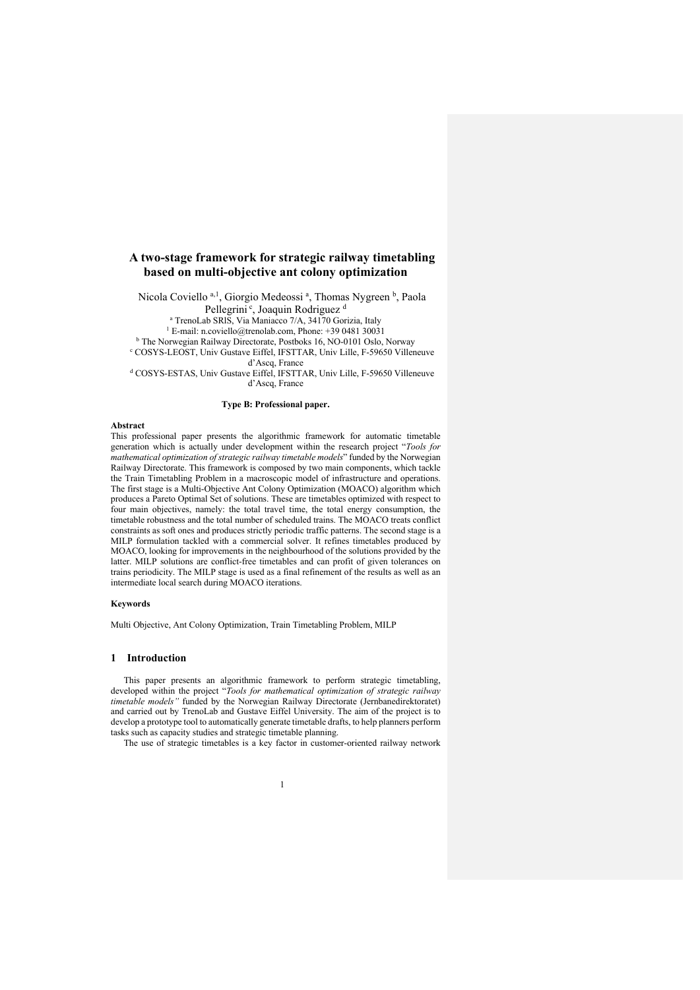# **A two-stage framework for strategic railway timetabling based on multi-objective ant colony optimization**

Nicola Coviello<sup>a, 1</sup>, Giorgio Medeossi<sup>a</sup>, Thomas Nygreen<sup>b</sup>, Paola Pellegrini<sup>c</sup>, Joaquin Rodriguez<sup>d</sup>

<sup>a</sup> TrenoLab SRIS, Via Maniacco 7/A, 34170 Gorizia, Italy

<sup>1</sup> E-mail: n.coviello@trenolab.com, Phone:  $\pm$ 39 0481 30031

b The Norwegian Railway Directorate, Postboks 16, NO-0101 Oslo, Norway

<sup>c</sup> COSYS-LEOST, Univ Gustave Eiffel, IFSTTAR, Univ Lille, F-59650 Villeneuve d'Ascq, France

<sup>d</sup> COSYS-ESTAS, Univ Gustave Eiffel, IFSTTAR, Univ Lille, F-59650 Villeneuve d'Ascq, France

#### **Type B: Professional paper.**

#### **Abstract**

This professional paper presents the algorithmic framework for automatic timetable generation which is actually under development within the research project "*Tools for mathematical optimization of strategic railway timetable models*" funded by the Norwegian Railway Directorate. This framework is composed by two main components, which tackle the Train Timetabling Problem in a macroscopic model of infrastructure and operations. The first stage is a Multi-Objective Ant Colony Optimization (MOACO) algorithm which produces a Pareto Optimal Set of solutions. These are timetables optimized with respect to four main objectives, namely: the total travel time, the total energy consumption, the timetable robustness and the total number of scheduled trains. The MOACO treats conflict constraints as soft ones and produces strictly periodic traffic patterns. The second stage is a MILP formulation tackled with a commercial solver. It refines timetables produced by MOACO, looking for improvements in the neighbourhood of the solutions provided by the latter. MILP solutions are conflict-free timetables and can profit of given tolerances on trains periodicity. The MILP stage is used as a final refinement of the results as well as an intermediate local search during MOACO iterations.

#### **Keywords**

Multi Objective, Ant Colony Optimization, Train Timetabling Problem, MILP

#### **1 Introduction**

This paper presents an algorithmic framework to perform strategic timetabling, developed within the project "*Tools for mathematical optimization of strategic railway timetable models"* funded by the Norwegian Railway Directorate (Jernbanedirektoratet) and carried out by TrenoLab and Gustave Eiffel University. The aim of the project is to develop a prototype tool to automatically generate timetable drafts, to help planners perform tasks such as capacity studies and strategic timetable planning.

The use of strategic timetables is a key factor in customer-oriented railway network

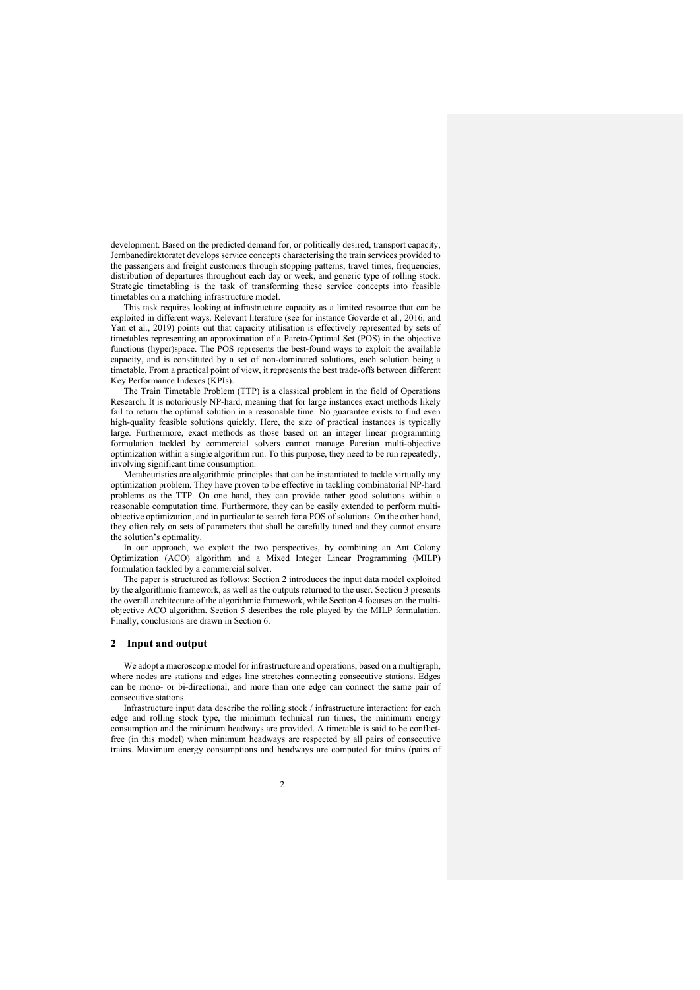development. Based on the predicted demand for, or politically desired, transport capacity, Jernbanedirektoratet develops service concepts characterising the train services provided to the passengers and freight customers through stopping patterns, travel times, frequencies, distribution of departures throughout each day or week, and generic type of rolling stock. Strategic timetabling is the task of transforming these service concepts into feasible timetables on a matching infrastructure model.

This task requires looking at infrastructure capacity as a limited resource that can be exploited in different ways. Relevant literature (see for instance Goverde et al., 2016, and Yan et al., 2019) points out that capacity utilisation is effectively represented by sets of timetables representing an approximation of a Pareto-Optimal Set (POS) in the objective functions (hyper)space. The POS represents the best-found ways to exploit the available capacity, and is constituted by a set of non-dominated solutions, each solution being a timetable. From a practical point of view, it represents the best trade-offs between different Key Performance Indexes (KPIs).

The Train Timetable Problem (TTP) is a classical problem in the field of Operations Research. It is notoriously NP-hard, meaning that for large instances exact methods likely fail to return the optimal solution in a reasonable time. No guarantee exists to find even high-quality feasible solutions quickly. Here, the size of practical instances is typically large. Furthermore, exact methods as those based on an integer linear programming formulation tackled by commercial solvers cannot manage Paretian multi-objective optimization within a single algorithm run. To this purpose, they need to be run repeatedly, involving significant time consumption.

Metaheuristics are algorithmic principles that can be instantiated to tackle virtually any optimization problem. They have proven to be effective in tackling combinatorial NP-hard problems as the TTP. On one hand, they can provide rather good solutions within a reasonable computation time. Furthermore, they can be easily extended to perform multiobjective optimization, and in particular to search for a POS of solutions. On the other hand, they often rely on sets of parameters that shall be carefully tuned and they cannot ensure the solution's optimality.

In our approach, we exploit the two perspectives, by combining an Ant Colony Optimization (ACO) algorithm and a Mixed Integer Linear Programming (MILP) formulation tackled by a commercial solver.

The paper is structured as follows: Section 2 introduces the input data model exploited by the algorithmic framework, as well as the outputs returned to the user. Section 3 presents the overall architecture of the algorithmic framework, while Section 4 focuses on the multiobjective ACO algorithm. Section 5 describes the role played by the MILP formulation. Finally, conclusions are drawn in Section 6.

### **2 Input and output**

We adopt a macroscopic model for infrastructure and operations, based on a multigraph, where nodes are stations and edges line stretches connecting consecutive stations. Edges can be mono- or bi-directional, and more than one edge can connect the same pair of consecutive stations.

Infrastructure input data describe the rolling stock / infrastructure interaction: for each edge and rolling stock type, the minimum technical run times, the minimum energy consumption and the minimum headways are provided. A timetable is said to be conflictfree (in this model) when minimum headways are respected by all pairs of consecutive trains. Maximum energy consumptions and headways are computed for trains (pairs of

 $\mathcal{L}$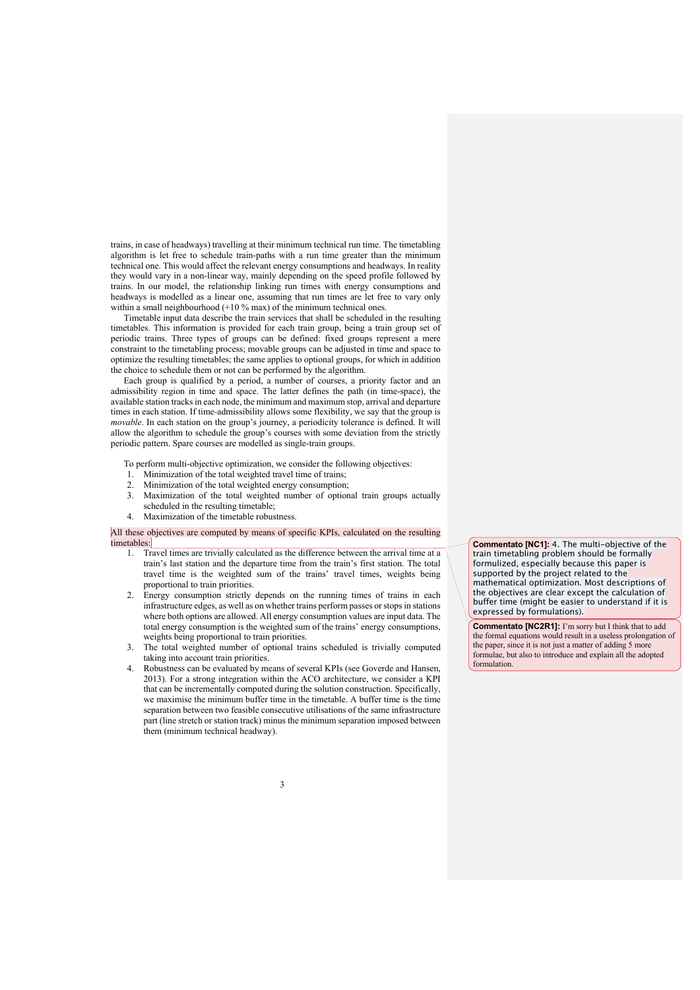trains, in case of headways) travelling at their minimum technical run time. The timetabling algorithm is let free to schedule train-paths with a run time greater than the minimum technical one. This would affect the relevant energy consumptions and headways. In reality they would vary in a non-linear way, mainly depending on the speed profile followed by trains. In our model, the relationship linking run times with energy consumptions and headways is modelled as a linear one, assuming that run times are let free to vary only within a small neighbourhood (+10 % max) of the minimum technical ones.

Timetable input data describe the train services that shall be scheduled in the resulting timetables. This information is provided for each train group, being a train group set of periodic trains. Three types of groups can be defined: fixed groups represent a mere constraint to the timetabling process; movable groups can be adjusted in time and space to optimize the resulting timetables; the same applies to optional groups, for which in addition the choice to schedule them or not can be performed by the algorithm.

Each group is qualified by a period, a number of courses, a priority factor and an admissibility region in time and space. The latter defines the path (in time-space), the available station tracks in each node, the minimum and maximum stop, arrival and departure times in each station. If time-admissibility allows some flexibility, we say that the group is *movable*. In each station on the group's journey, a periodicity tolerance is defined. It will allow the algorithm to schedule the group's courses with some deviation from the strictly periodic pattern. Spare courses are modelled as single-train groups.

To perform multi-objective optimization, we consider the following objectives:

- 1. Minimization of the total weighted travel time of trains;<br>2. Minimization of the total weighted energy consumption
- Minimization of the total weighted energy consumption;
- 3. Maximization of the total weighted number of optional train groups actually scheduled in the resulting timetable;
- 4. Maximization of the timetable robustness.

## All these objectives are computed by means of specific KPIs, calculated on the resulting timetables:

- 1. Travel times are trivially calculated as the difference between the arrival time at a train's last station and the departure time from the train's first station. The total travel time is the weighted sum of the trains' travel times, weights being proportional to train priorities.
- 2. Energy consumption strictly depends on the running times of trains in each infrastructure edges, as well as on whether trains perform passes or stops in stations where both options are allowed. All energy consumption values are input data. The total energy consumption is the weighted sum of the trains' energy consumptions, weights being proportional to train priorities.
- 3. The total weighted number of optional trains scheduled is trivially computed taking into account train priorities.
- 4. Robustness can be evaluated by means of several KPIs (see Goverde and Hansen, 2013). For a strong integration within the ACO architecture, we consider a KPI that can be incrementally computed during the solution construction. Specifically, we maximise the minimum buffer time in the timetable. A buffer time is the time separation between two feasible consecutive utilisations of the same infrastructure part (line stretch or station track) minus the minimum separation imposed between them (minimum technical headway).

**Commentato [NC1]:** 4. The multi-objective of the train timetabling problem should be formally formulized, especially because this paper is supported by the project related to the mathematical optimization. Most descriptions of the objectives are clear except the calculation of buffer time (might be easier to understand if it is expressed by formulations).

**Commentato [NC2R1]:** I'm sorry but I think that to add the formal equations would result in a useless prolongation of the paper, since it is not just a matter of adding 5 more formulae, but also to introduce and explain all the adopted formulation.

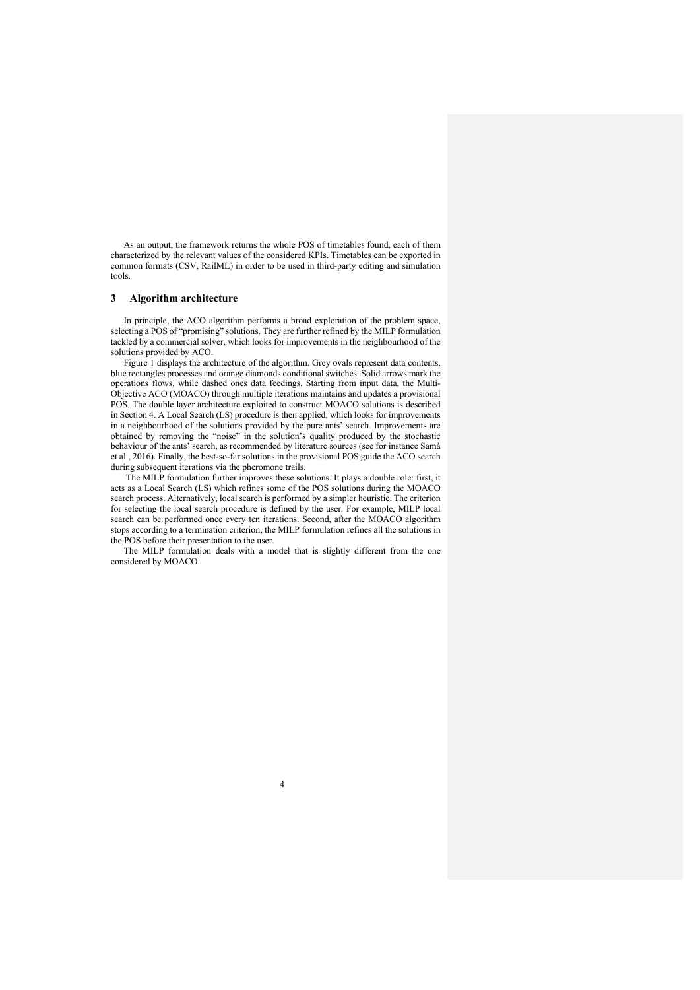As an output, the framework returns the whole POS of timetables found, each of them characterized by the relevant values of the considered KPIs. Timetables can be exported in common formats (CSV, RailML) in order to be used in third-party editing and simulation tools.

#### **3 Algorithm architecture**

In principle, the ACO algorithm performs a broad exploration of the problem space, selecting a POS of "promising" solutions. They are further refined by the MILP formulation tackled by a commercial solver, which looks for improvements in the neighbourhood of the solutions provided by ACO.

Figure 1 displays the architecture of the algorithm. Grey ovals represent data contents, blue rectangles processes and orange diamonds conditional switches. Solid arrows mark the operations flows, while dashed ones data feedings. Starting from input data, the Multi-Objective ACO (MOACO) through multiple iterations maintains and updates a provisional POS. The double layer architecture exploited to construct MOACO solutions is described in Section 4. A Local Search (LS) procedure is then applied, which looks for improvements in a neighbourhood of the solutions provided by the pure ants' search. Improvements are obtained by removing the "noise" in the solution's quality produced by the stochastic behaviour of the ants' search, as recommended by literature sources (see for instance Samà et al., 2016). Finally, the best-so-far solutions in the provisional POS guide the ACO search during subsequent iterations via the pheromone trails.

The MILP formulation further improves these solutions. It plays a double role: first, it acts as a Local Search (LS) which refines some of the POS solutions during the MOACO search process. Alternatively, local search is performed by a simpler heuristic. The criterion for selecting the local search procedure is defined by the user. For example, MILP local search can be performed once every ten iterations. Second, after the MOACO algorithm stops according to a termination criterion, the MILP formulation refines all the solutions in the POS before their presentation to the user.

The MILP formulation deals with a model that is slightly different from the one considered by MOACO.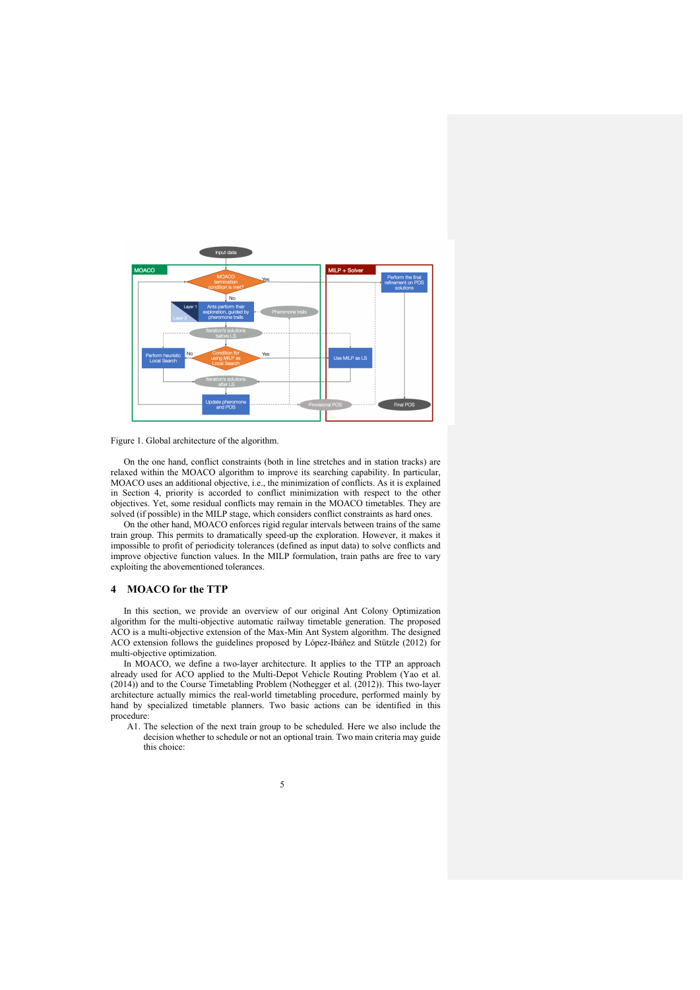

Figure 1. Global architecture of the algorithm.

On the one hand, conflict constraints (both in line stretches and in station tracks) are relaxed within the MOACO algorithm to improve its searching capability. In particular, MOACO uses an additional objective, i.e., the minimization of conflicts. As it is explained in Section 4, priority is accorded to conflict minimization with respect to the other objectives. Yet, some residual conflicts may remain in the MOACO timetables. They are solved (if possible) in the MILP stage, which considers conflict constraints as hard ones.

On the other hand, MOACO enforces rigid regular intervals between trains of the same train group. This permits to dramatically speed-up the exploration. However, it makes it impossible to profit of periodicity tolerances (defined as input data) to solve conflicts and improve objective function values. In the MILP formulation, train paths are free to vary exploiting the abovementioned tolerances.

## **4 MOACO for the TTP**

In this section, we provide an overview of our original Ant Colony Optimization algorithm for the multi-objective automatic railway timetable generation. The proposed ACO is a multi-objective extension of the Max-Min Ant System algorithm. The designed ACO extension follows the guidelines proposed by López-Ibáñez and Stützle (2012) for multi-objective optimization.

In MOACO, we define a two-layer architecture. It applies to the TTP an approach already used for ACO applied to the Multi-Depot Vehicle Routing Problem (Yao et al. (2014)) and to the Course Timetabling Problem (Nothegger et al. (2012)). This two-layer architecture actually mimics the real-world timetabling procedure, performed mainly by hand by specialized timetable planners. Two basic actions can be identified in this procedure:

A1. The selection of the next train group to be scheduled. Here we also include the decision whether to schedule or not an optional train. Two main criteria may guide this choice:

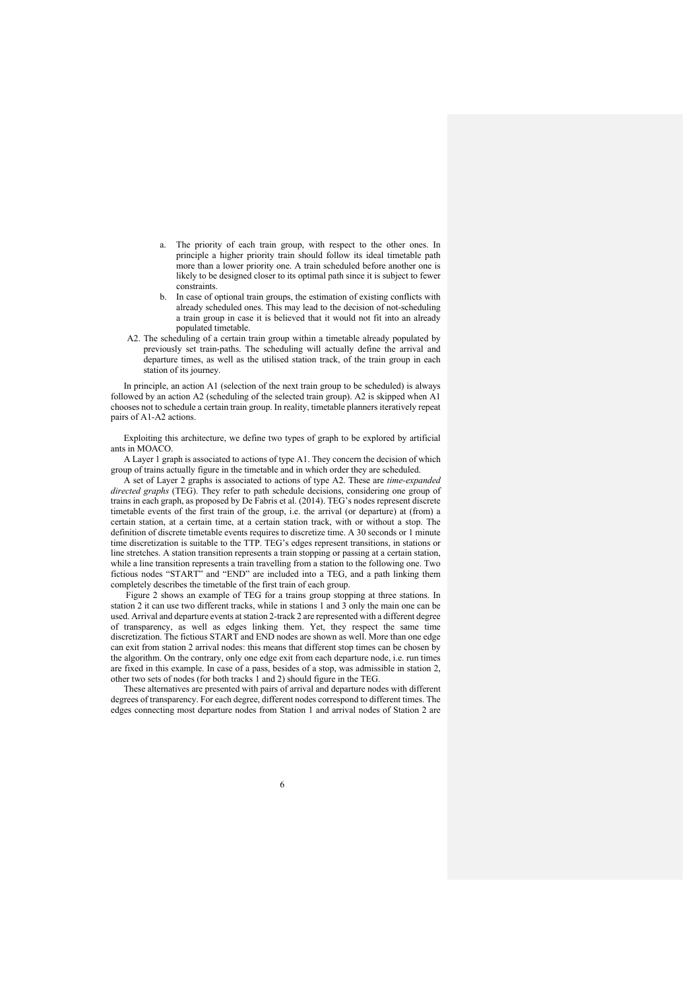- a. The priority of each train group, with respect to the other ones. In principle a higher priority train should follow its ideal timetable path more than a lower priority one. A train scheduled before another one is likely to be designed closer to its optimal path since it is subject to fewer constraints.
- b. In case of optional train groups, the estimation of existing conflicts with already scheduled ones. This may lead to the decision of not-scheduling a train group in case it is believed that it would not fit into an already populated timetable.
- A2. The scheduling of a certain train group within a timetable already populated by previously set train-paths. The scheduling will actually define the arrival and departure times, as well as the utilised station track, of the train group in each station of its journey.

In principle, an action A1 (selection of the next train group to be scheduled) is always followed by an action A2 (scheduling of the selected train group). A2 is skipped when A1 chooses not to schedule a certain train group. In reality, timetable planners iteratively repeat pairs of A1-A2 actions.

Exploiting this architecture, we define two types of graph to be explored by artificial ants in MOACO.

A Layer 1 graph is associated to actions of type A1. They concern the decision of which group of trains actually figure in the timetable and in which order they are scheduled.

A set of Layer 2 graphs is associated to actions of type A2. These are *time-expanded directed graphs* (TEG). They refer to path schedule decisions, considering one group of trains in each graph, as proposed by De Fabris et al. (2014). TEG's nodes represent discrete timetable events of the first train of the group, i.e. the arrival (or departure) at (from) a certain station, at a certain time, at a certain station track, with or without a stop. The definition of discrete timetable events requires to discretize time. A 30 seconds or 1 minute time discretization is suitable to the TTP. TEG's edges represent transitions, in stations or line stretches. A station transition represents a train stopping or passing at a certain station, while a line transition represents a train travelling from a station to the following one. Two fictious nodes "START" and "END" are included into a TEG, and a path linking them completely describes the timetable of the first train of each group.

Figure 2 shows an example of TEG for a trains group stopping at three stations. In station 2 it can use two different tracks, while in stations 1 and 3 only the main one can be used. Arrival and departure events at station 2-track 2 are represented with a different degree of transparency, as well as edges linking them. Yet, they respect the same time discretization. The fictious START and END nodes are shown as well. More than one edge can exit from station 2 arrival nodes: this means that different stop times can be chosen by the algorithm. On the contrary, only one edge exit from each departure node, i.e. run times are fixed in this example. In case of a pass, besides of a stop, was admissible in station 2, other two sets of nodes (for both tracks 1 and 2) should figure in the TEG.

These alternatives are presented with pairs of arrival and departure nodes with different degrees of transparency. For each degree, different nodes correspond to different times. The edges connecting most departure nodes from Station 1 and arrival nodes of Station 2 are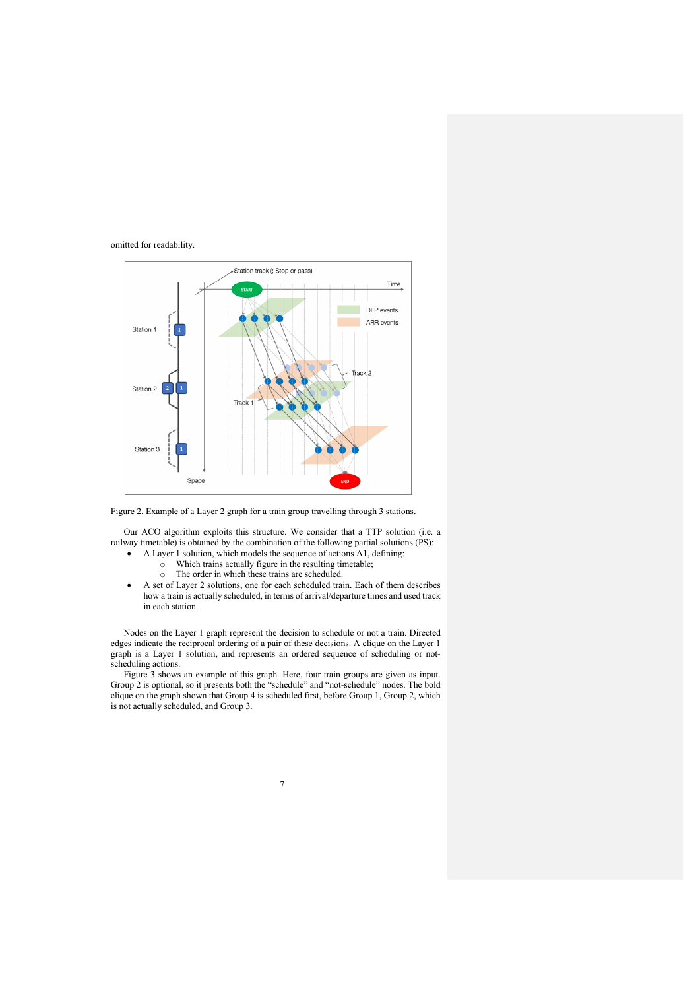## omitted for readability.



Figure 2. Example of a Layer 2 graph for a train group travelling through 3 stations.

Our ACO algorithm exploits this structure. We consider that a TTP solution (i.e. a railway timetable) is obtained by the combination of the following partial solutions (PS):

- A Layer 1 solution, which models the sequence of actions A1, defining:
	- o Which trains actually figure in the resulting timetable;
	- o The order in which these trains are scheduled.
- A set of Layer 2 solutions, one for each scheduled train. Each of them describes how a train is actually scheduled, in terms of arrival/departure times and used track in each station.

Nodes on the Layer 1 graph represent the decision to schedule or not a train. Directed edges indicate the reciprocal ordering of a pair of these decisions. A clique on the Layer 1 graph is a Layer 1 solution, and represents an ordered sequence of scheduling or notscheduling actions.

Figure 3 shows an example of this graph. Here, four train groups are given as input. Group 2 is optional, so it presents both the "schedule" and "not-schedule" nodes. The bold clique on the graph shown that Group 4 is scheduled first, before Group 1, Group 2, which is not actually scheduled, and Group 3.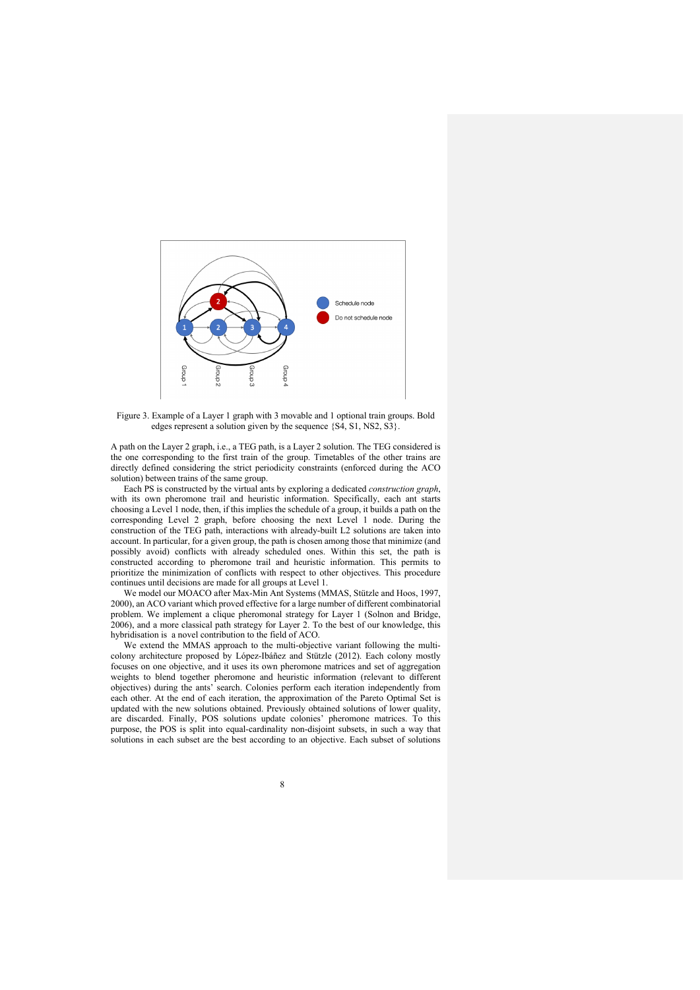

Figure 3. Example of a Layer 1 graph with 3 movable and 1 optional train groups. Bold edges represent a solution given by the sequence {S4, S1, NS2, S3}.

A path on the Layer 2 graph, i.e., a TEG path, is a Layer 2 solution. The TEG considered is the one corresponding to the first train of the group. Timetables of the other trains are directly defined considering the strict periodicity constraints (enforced during the ACO solution) between trains of the same group.

Each PS is constructed by the virtual ants by exploring a dedicated *construction graph*, with its own pheromone trail and heuristic information. Specifically, each ant starts choosing a Level 1 node, then, if this implies the schedule of a group, it builds a path on the corresponding Level 2 graph, before choosing the next Level 1 node. During the construction of the TEG path, interactions with already-built L2 solutions are taken into account. In particular, for a given group, the path is chosen among those that minimize (and possibly avoid) conflicts with already scheduled ones. Within this set, the path is constructed according to pheromone trail and heuristic information. This permits to prioritize the minimization of conflicts with respect to other objectives. This procedure continues until decisions are made for all groups at Level 1.

We model our MOACO after Max-Min Ant Systems (MMAS, Stützle and Hoos, 1997, 2000), an ACO variant which proved effective for a large number of different combinatorial problem. We implement a clique pheromonal strategy for Layer 1 (Solnon and Bridge, 2006), and a more classical path strategy for Layer 2. To the best of our knowledge, this hybridisation is a novel contribution to the field of ACO.

We extend the MMAS approach to the multi-objective variant following the multicolony architecture proposed by López-Ibáñez and Stützle (2012). Each colony mostly focuses on one objective, and it uses its own pheromone matrices and set of aggregation weights to blend together pheromone and heuristic information (relevant to different objectives) during the ants' search. Colonies perform each iteration independently from each other. At the end of each iteration, the approximation of the Pareto Optimal Set is updated with the new solutions obtained. Previously obtained solutions of lower quality, are discarded. Finally, POS solutions update colonies' pheromone matrices. To this purpose, the POS is split into equal-cardinality non-disjoint subsets, in such a way that solutions in each subset are the best according to an objective. Each subset of solutions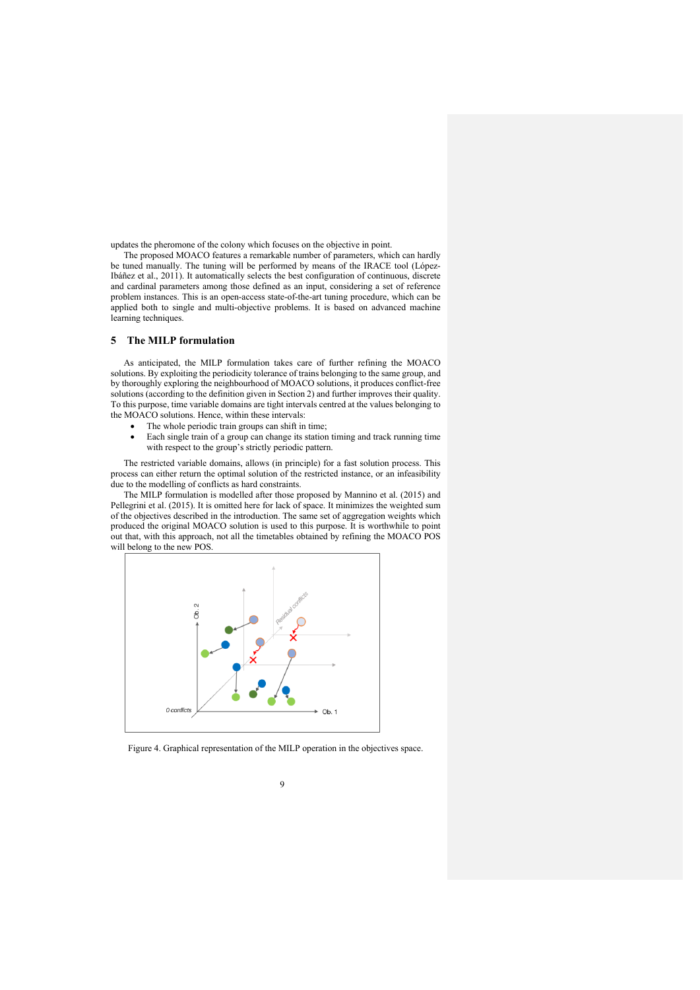updates the pheromone of the colony which focuses on the objective in point.

The proposed MOACO features a remarkable number of parameters, which can hardly be tuned manually. The tuning will be performed by means of the IRACE tool (López-Ibáñez et al., 2011). It automatically selects the best configuration of continuous, discrete and cardinal parameters among those defined as an input, considering a set of reference problem instances. This is an open-access state-of-the-art tuning procedure, which can be applied both to single and multi-objective problems. It is based on advanced machine learning techniques.

# **5 The MILP formulation**

As anticipated, the MILP formulation takes care of further refining the MOACO solutions. By exploiting the periodicity tolerance of trains belonging to the same group, and by thoroughly exploring the neighbourhood of MOACO solutions, it produces conflict-free solutions (according to the definition given in Section 2) and further improves their quality. To this purpose, time variable domains are tight intervals centred at the values belonging to the MOACO solutions. Hence, within these intervals:

- The whole periodic train groups can shift in time;
- Each single train of a group can change its station timing and track running time with respect to the group's strictly periodic pattern.

The restricted variable domains, allows (in principle) for a fast solution process. This process can either return the optimal solution of the restricted instance, or an infeasibility due to the modelling of conflicts as hard constraints.

The MILP formulation is modelled after those proposed by Mannino et al. (2015) and Pellegrini et al. (2015). It is omitted here for lack of space. It minimizes the weighted sum of the objectives described in the introduction. The same set of aggregation weights which produced the original MOACO solution is used to this purpose. It is worthwhile to point out that, with this approach, not all the timetables obtained by refining the MOACO POS will belong to the new POS.



Figure 4. Graphical representation of the MILP operation in the objectives space.

 $\overline{q}$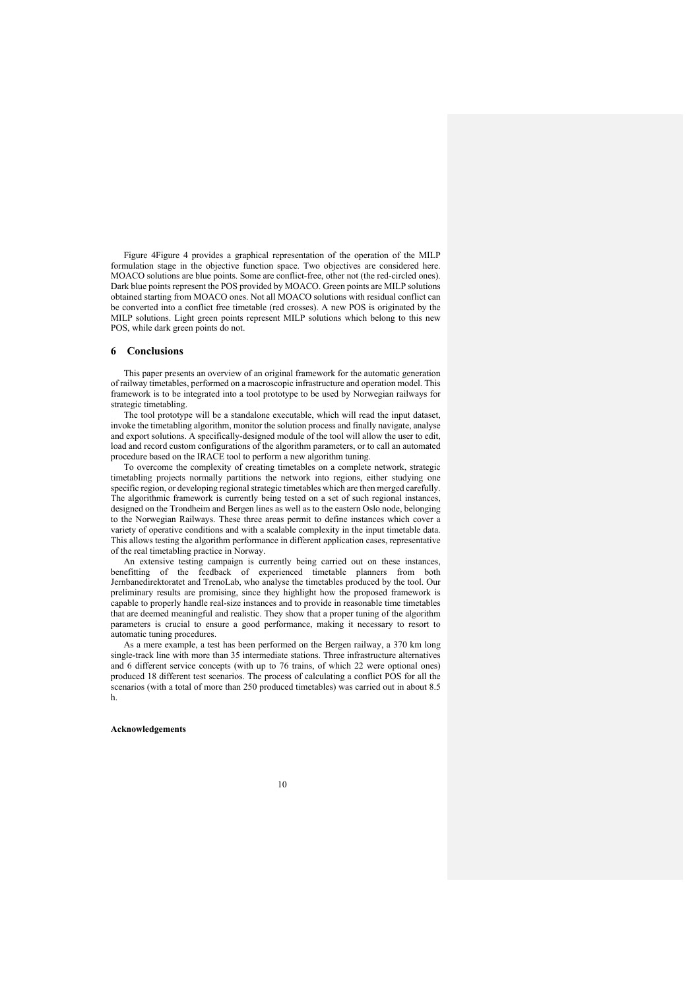Figure 4Figure 4 provides a graphical representation of the operation of the MILP formulation stage in the objective function space. Two objectives are considered here. MOACO solutions are blue points. Some are conflict-free, other not (the red-circled ones). Dark blue points represent the POS provided by MOACO. Green points are MILP solutions obtained starting from MOACO ones. Not all MOACO solutions with residual conflict can be converted into a conflict free timetable (red crosses). A new POS is originated by the MILP solutions. Light green points represent MILP solutions which belong to this new POS, while dark green points do not.

## **6 Conclusions**

This paper presents an overview of an original framework for the automatic generation of railway timetables, performed on a macroscopic infrastructure and operation model. This framework is to be integrated into a tool prototype to be used by Norwegian railways for strategic timetabling.

The tool prototype will be a standalone executable, which will read the input dataset, invoke the timetabling algorithm, monitor the solution process and finally navigate, analyse and export solutions. A specifically-designed module of the tool will allow the user to edit, load and record custom configurations of the algorithm parameters, or to call an automated procedure based on the IRACE tool to perform a new algorithm tuning.

To overcome the complexity of creating timetables on a complete network, strategic timetabling projects normally partitions the network into regions, either studying one specific region, or developing regional strategic timetables which are then merged carefully. The algorithmic framework is currently being tested on a set of such regional instances, designed on the Trondheim and Bergen lines as well as to the eastern Oslo node, belonging to the Norwegian Railways. These three areas permit to define instances which cover a variety of operative conditions and with a scalable complexity in the input timetable data. This allows testing the algorithm performance in different application cases, representative of the real timetabling practice in Norway.

An extensive testing campaign is currently being carried out on these instances, benefitting of the feedback of experienced timetable planners from both Jernbanedirektoratet and TrenoLab, who analyse the timetables produced by the tool. Our preliminary results are promising, since they highlight how the proposed framework is capable to properly handle real-size instances and to provide in reasonable time timetables that are deemed meaningful and realistic. They show that a proper tuning of the algorithm parameters is crucial to ensure a good performance, making it necessary to resort to automatic tuning procedures.

As a mere example, a test has been performed on the Bergen railway, a 370 km long single-track line with more than 35 intermediate stations. Three infrastructure alternatives and 6 different service concepts (with up to 76 trains, of which 22 were optional ones) produced 18 different test scenarios. The process of calculating a conflict POS for all the scenarios (with a total of more than 250 produced timetables) was carried out in about 8.5 h.

### **Acknowledgements**